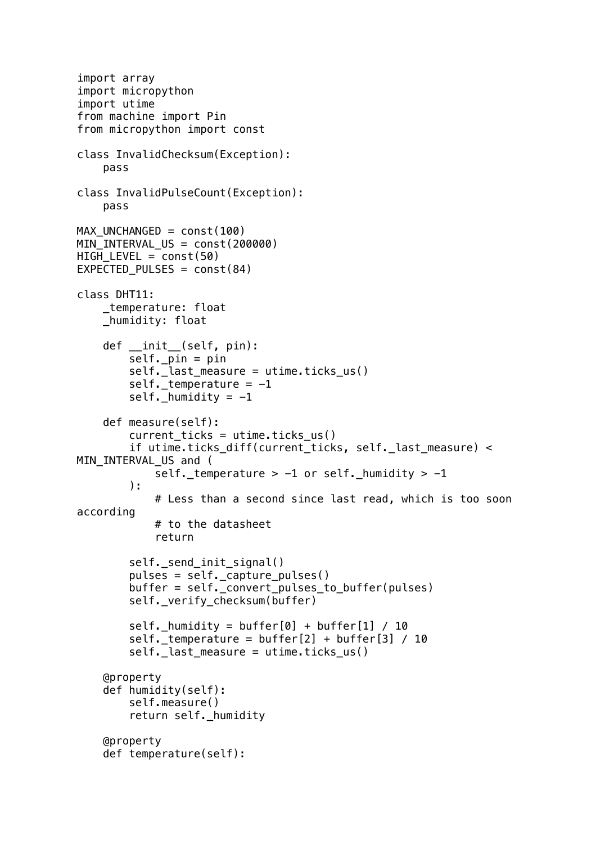```
import array
import micropython
import utime
from machine import Pin
from micropython import const
class InvalidChecksum(Exception):
     pass
class InvalidPulseCount(Exception):
     pass
MAX_UNCHANGED = const(100)
MIN INTERVAL US = const(200000)HIGH_LEVEL = const(50)EXPECTED_PULSES = const(84)
class DHT11:
     _temperature: float
     _humidity: float
    def __ init_(self, pin):
        self. pin = pin self._last_measure = utime.ticks_us()
        self. _ temperature = -1self. humidity = -1 def measure(self):
        current ticks = utime.ticks us()
         if utime.ticks_diff(current_ticks, self._last_measure) < 
MIN_INTERVAL_US and (
            self. temperature > -1 or self. humidity > -1 ):
             # Less than a second since last read, which is too soon 
according
             # to the datasheet
             return
         self._send_init_signal()
         pulses = self._capture_pulses()
         buffer = self._convert_pulses_to_buffer(pulses)
         self._verify_checksum(buffer)
        self. humidity = buffer[0] + buffer[1] / 10
        self. temperature = buffer[2] + buffer[3] / 10
         self._last_measure = utime.ticks_us()
     @property
     def humidity(self):
         self.measure()
         return self._humidity
     @property
     def temperature(self):
```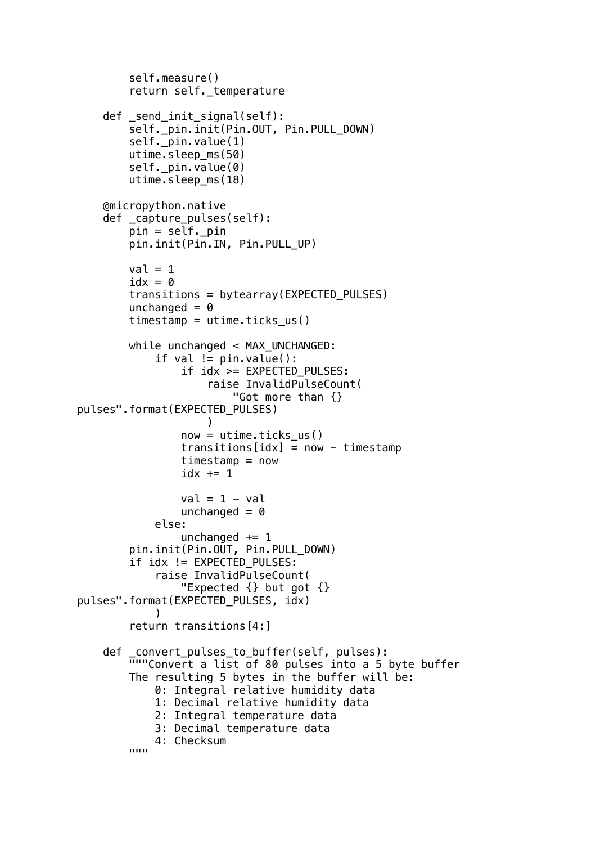```
 self.measure()
         return self._temperature
    def send init signal(self):
        self._pin.init(Pin.OUT, Pin.PULL DOWN)
         self._pin.value(1)
         utime.sleep_ms(50)
         self._pin.value(0)
         utime.sleep_ms(18)
     @micropython.native
     def _capture_pulses(self):
         pin = self._pin
         pin.init(Pin.IN, Pin.PULL_UP)
        val = 1idx = 0 transitions = bytearray(EXPECTED_PULSES)
        unchanged = 0timestamp = utime.ticks us()
        while unchanged < MAX UNCHANGED:
            if val != pin.value():
                 if idx >= EXPECTED_PULSES:
                     raise InvalidPulseCount(
                         "Got more than {} 
pulses".format(EXPECTED_PULSES)
 )
                now = utime.ticks us()
                transitions[idx] = now - timestamptimestimestamp = now
                idx += 1val = 1 - valunchanged = 0 else:
                unchanged += 1 pin.init(Pin.OUT, Pin.PULL_DOWN)
         if idx != EXPECTED_PULSES:
             raise InvalidPulseCount(
                 "Expected {} but got {} 
pulses".format(EXPECTED_PULSES, idx)
\overline{\phantom{a}} return transitions[4:]
 def _convert_pulses_to_buffer(self, pulses):
 """Convert a list of 80 pulses into a 5 byte buffer
         The resulting 5 bytes in the buffer will be:
             0: Integral relative humidity data
             1: Decimal relative humidity data
             2: Integral temperature data
             3: Decimal temperature data
        4: Checksum
 """
```